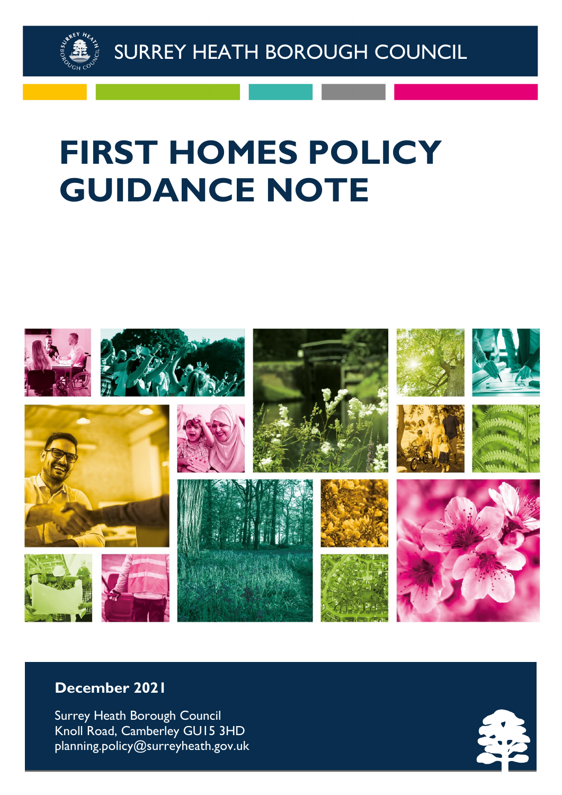

# **FIRST HOMES POLICY GUIDANCE NOTE**



#### **December 2021**

Surrey Heath Borough Council Knoll Road, Camberley GU15 3HD planning.policy@surreyheath.gov.uk

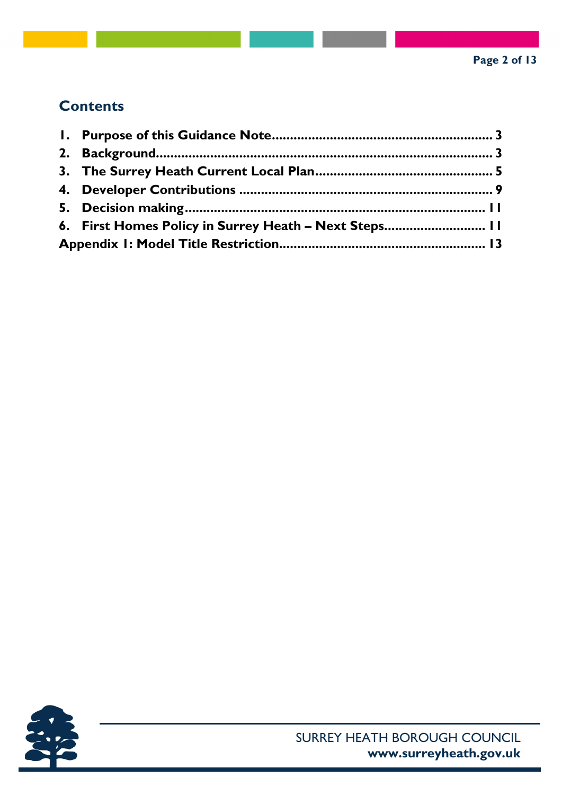#### **Contents**

|  | 6. First Homes Policy in Surrey Heath - Next Steps 11 |  |
|--|-------------------------------------------------------|--|
|  |                                                       |  |

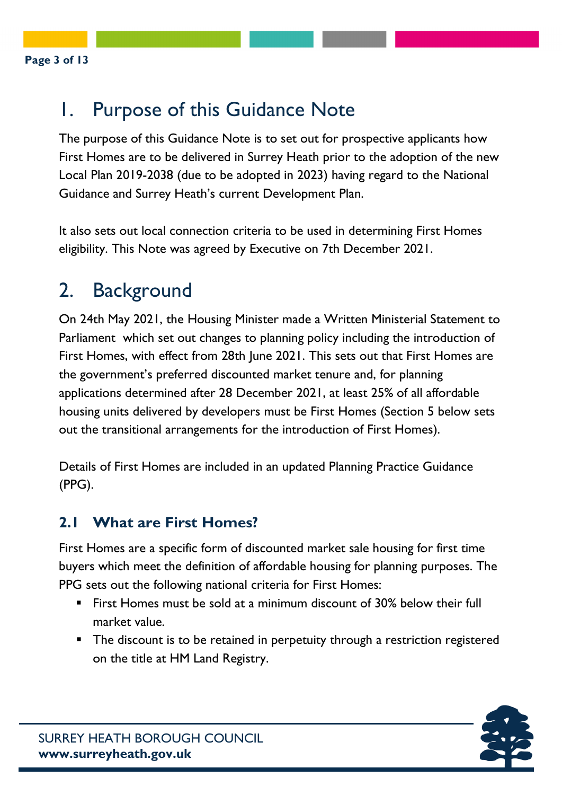## <span id="page-2-0"></span>1. Purpose of this Guidance Note

The purpose of this Guidance Note is to set out for prospective applicants how First Homes are to be delivered in Surrey Heath prior to the adoption of the new Local Plan 2019-2038 (due to be adopted in 2023) having regard to the National Guidance and Surrey Heath's current Development Plan.

It also sets out local connection criteria to be used in determining First Homes eligibility. This Note was agreed by Executive on 7th December 2021.

## <span id="page-2-1"></span>2. Background

On 24th May 2021, the Housing Minister made a Written Ministerial Statement to Parliament which set out changes to planning policy including the introduction of First Homes, with effect from 28th June 2021. This sets out that First Homes are the government's preferred discounted market tenure and, for planning applications determined after 28 December 2021, at least 25% of all affordable housing units delivered by developers must be First Homes (Section 5 below sets out the transitional arrangements for the introduction of First Homes).

Details of First Homes are included in an updated Planning Practice Guidance (PPG).

#### **2.1 What are First Homes?**

First Homes are a specific form of discounted market sale housing for first time buyers which meet the definition of affordable housing for planning purposes. The PPG sets out the following national criteria for First Homes:

- First Homes must be sold at a minimum discount of 30% below their full market value.
- The discount is to be retained in perpetuity through a restriction registered on the title at HM Land Registry.

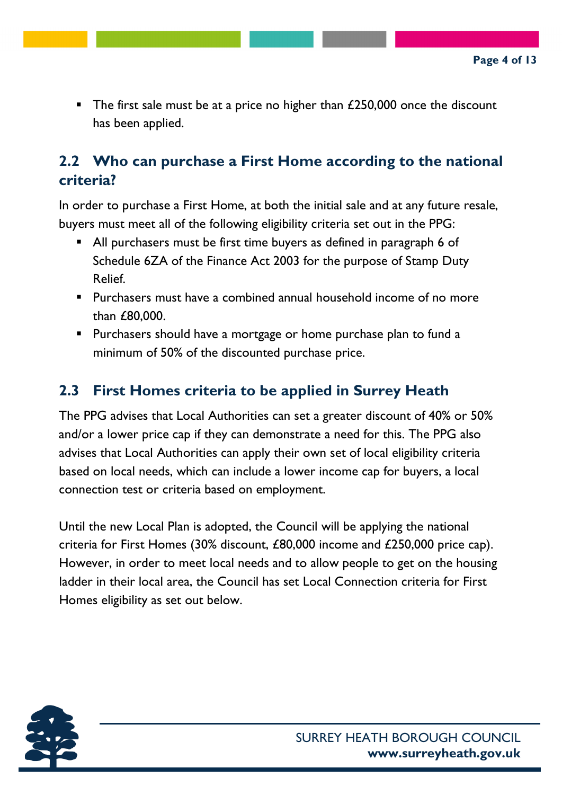The first sale must be at a price no higher than  $£250,000$  once the discount has been applied.

#### **2.2 Who can purchase a First Home according to the national criteria?**

In order to purchase a First Home, at both the initial sale and at any future resale, buyers must meet all of the following eligibility criteria set out in the PPG:

- All purchasers must be first time buyers as defined in paragraph 6 of Schedule 6ZA of the Finance Act 2003 for the purpose of Stamp Duty Relief.
- Purchasers must have a combined annual household income of no more than £80,000.
- **Purchasers should have a mortgage or home purchase plan to fund a** minimum of 50% of the discounted purchase price.

#### **2.3 First Homes criteria to be applied in Surrey Heath**

The PPG advises that Local Authorities can set a greater discount of 40% or 50% and/or a lower price cap if they can demonstrate a need for this. The PPG also advises that Local Authorities can apply their own set of local eligibility criteria based on local needs, which can include a lower income cap for buyers, a local connection test or criteria based on employment.

Until the new Local Plan is adopted, the Council will be applying the national criteria for First Homes (30% discount, £80,000 income and £250,000 price cap). However, in order to meet local needs and to allow people to get on the housing ladder in their local area, the Council has set Local Connection criteria for First Homes eligibility as set out below.

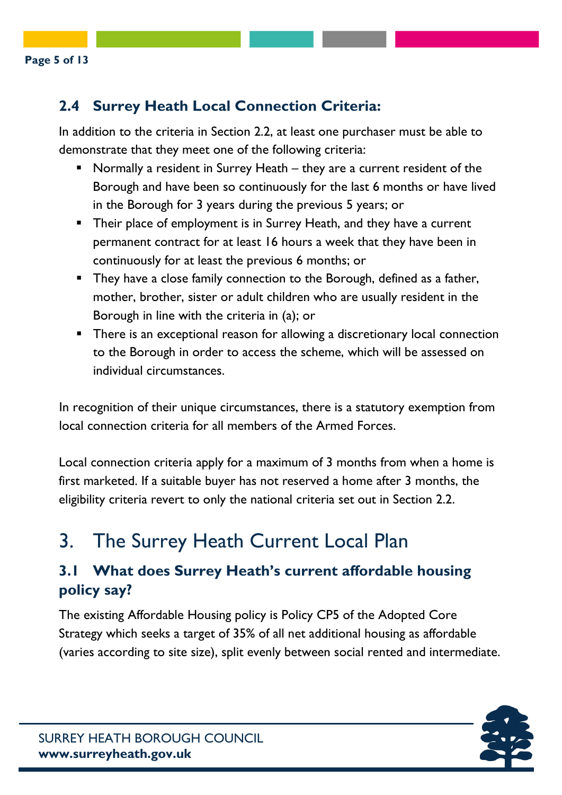#### **2.4 Surrey Heath Local Connection Criteria:**

In addition to the criteria in Section 2.2, at least one purchaser must be able to demonstrate that they meet one of the following criteria:

- **Normally a resident in Surrey Heath they are a current resident of the** Borough and have been so continuously for the last 6 months or have lived in the Borough for 3 years during the previous 5 years; or
- **Their place of employment is in Surrey Heath, and they have a current** permanent contract for at least 16 hours a week that they have been in continuously for at least the previous 6 months; or
- They have a close family connection to the Borough, defined as a father, mother, brother, sister or adult children who are usually resident in the Borough in line with the criteria in (a); or
- **There is an exceptional reason for allowing a discretionary local connection** to the Borough in order to access the scheme, which will be assessed on individual circumstances.

In recognition of their unique circumstances, there is a statutory exemption from local connection criteria for all members of the Armed Forces.

Local connection criteria apply for a maximum of 3 months from when a home is first marketed. If a suitable buyer has not reserved a home after 3 months, the eligibility criteria revert to only the national criteria set out in Section 2.2.

# <span id="page-4-0"></span>3. The Surrey Heath Current Local Plan

#### **3.1 What does Surrey Heath's current affordable housing policy say?**

The existing Affordable Housing policy is Policy CP5 of the Adopted Core Strategy which seeks a target of 35% of all net additional housing as affordable (varies according to site size), split evenly between social rented and intermediate.

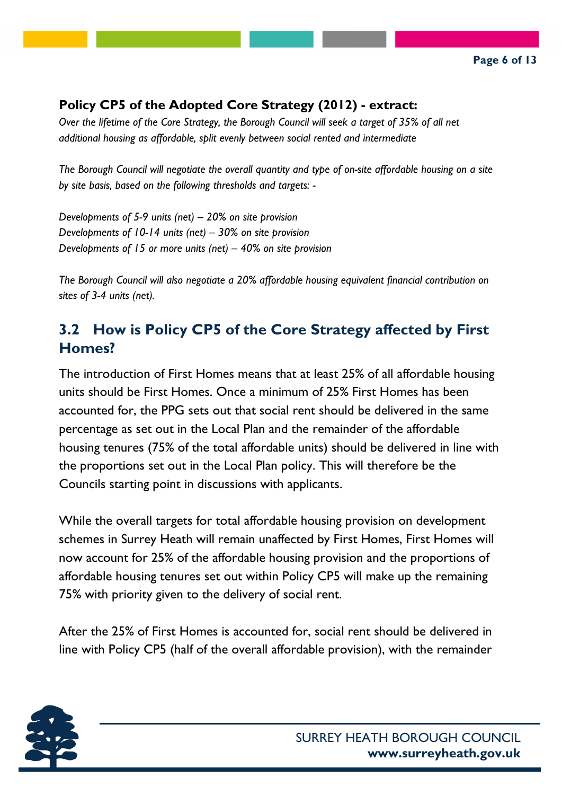#### **Policy CP5 of the Adopted Core Strategy (2012) - extract:**

Over the lifetime of the Core Strategy, the Borough Council will seek a target of 35% of all net *additional housing as affordable, split evenly between social rented and intermediate*

*The Borough Council will negotiate the overall quantity and type of on-site affordable housing on a site by site basis, based on the following thresholds and targets: -*

*Developments of 5-9 units (net) – 20% on site provision Developments of 10-14 units (net) – 30% on site provision Developments of 15 or more units (net) – 40% on site provision*

*The Borough Council will also negotiate a 20% affordable housing equivalent financial contribution on sites of 3-4 units (net).*

#### **3.2 How is Policy CP5 of the Core Strategy affected by First Homes?**

The introduction of First Homes means that at least 25% of all affordable housing units should be First Homes. Once a minimum of 25% First Homes has been accounted for, the PPG sets out that social rent should be delivered in the same percentage as set out in the Local Plan and the remainder of the affordable housing tenures (75% of the total affordable units) should be delivered in line with the proportions set out in the Local Plan policy. This will therefore be the Councils starting point in discussions with applicants.

While the overall targets for total affordable housing provision on development schemes in Surrey Heath will remain unaffected by First Homes, First Homes will now account for 25% of the affordable housing provision and the proportions of affordable housing tenures set out within Policy CP5 will make up the remaining 75% with priority given to the delivery of social rent.

After the 25% of First Homes is accounted for, social rent should be delivered in line with Policy CP5 (half of the overall affordable provision), with the remainder

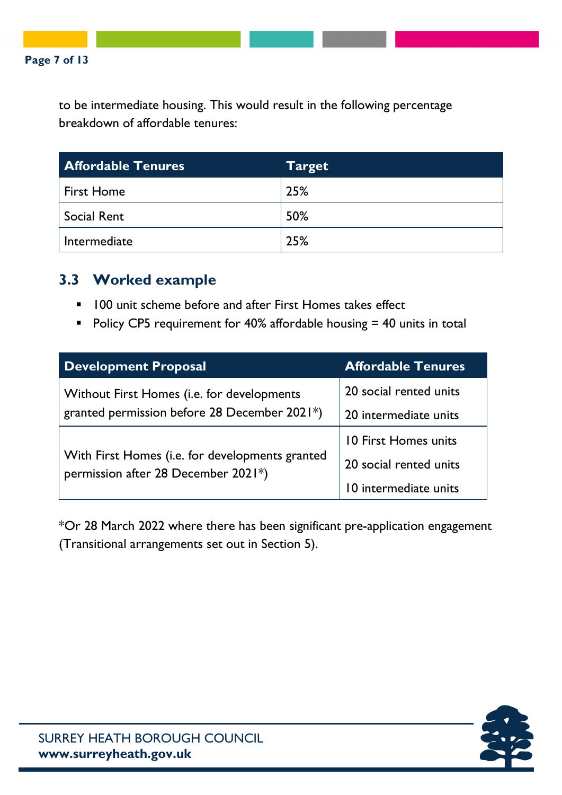

to be intermediate housing. This would result in the following percentage breakdown of affordable tenures:

| <b>Affordable Tenures</b> | <b>Target</b> |
|---------------------------|---------------|
| First Home                | 25%           |
| Social Rent               | 50%           |
| Intermediate              | 25%           |

#### **3.3 Worked example**

- **100** unit scheme before and after First Homes takes effect
- Policy CP5 requirement for 40% affordable housing  $=$  40 units in total

| <b>Development Proposal</b>                                                                    | <b>Affordable Tenures</b> |
|------------------------------------------------------------------------------------------------|---------------------------|
| Without First Homes (i.e. for developments<br>granted permission before 28 December $2021^*$ ) | 20 social rented units    |
|                                                                                                | 20 intermediate units     |
| With First Homes (i.e. for developments granted<br>permission after 28 December 2021*)         | 10 First Homes units      |
|                                                                                                | 20 social rented units    |
|                                                                                                | 10 intermediate units     |

\*Or 28 March 2022 where there has been significant pre-application engagement (Transitional arrangements set out in Section 5).

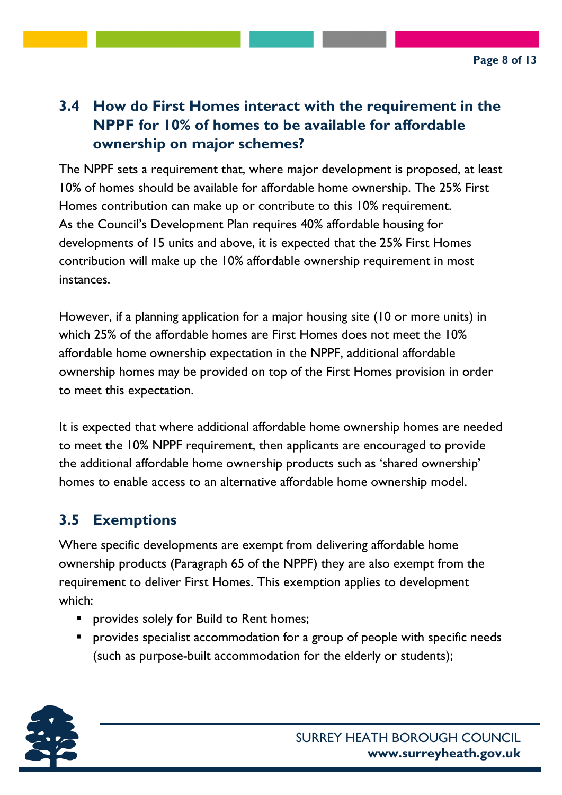## **3.4 How do First Homes interact with the requirement in the NPPF for 10% of homes to be available for affordable ownership on major schemes?**

The NPPF sets a requirement that, where major development is proposed, at least 10% of homes should be available for affordable home ownership. The 25% First Homes contribution can make up or contribute to this 10% requirement. As the Council's Development Plan requires 40% affordable housing for developments of 15 units and above, it is expected that the 25% First Homes contribution will make up the 10% affordable ownership requirement in most instances.

However, if a planning application for a major housing site (10 or more units) in which 25% of the affordable homes are First Homes does not meet the 10% affordable home ownership expectation in the NPPF, additional affordable ownership homes may be provided on top of the First Homes provision in order to meet this expectation.

It is expected that where additional affordable home ownership homes are needed to meet the 10% NPPF requirement, then applicants are encouraged to provide the additional affordable home ownership products such as 'shared ownership' homes to enable access to an alternative affordable home ownership model.

## **3.5 Exemptions**

Where specific developments are exempt from delivering affordable home ownership products (Paragraph 65 of the NPPF) they are also exempt from the requirement to deliver First Homes. This exemption applies to development which:

- provides solely for Build to Rent homes;
- **Perovides specialist accommodation for a group of people with specific needs** (such as purpose-built accommodation for the elderly or students);

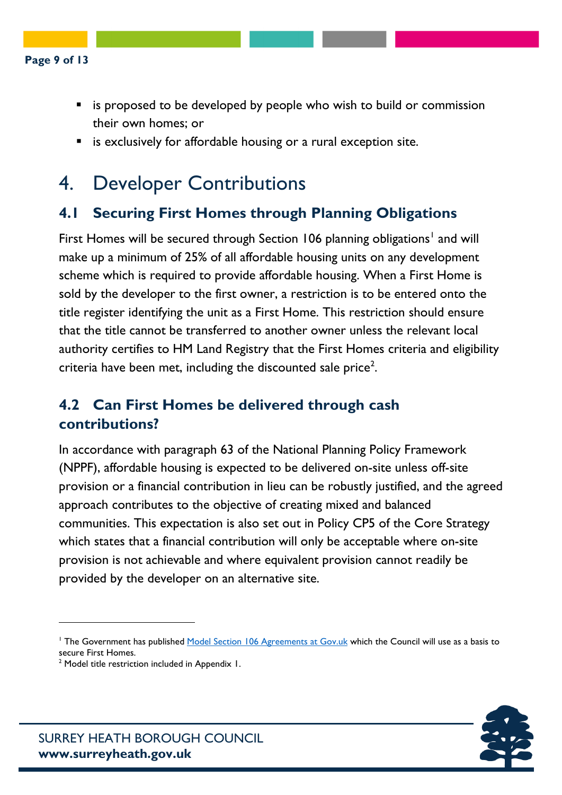- is proposed to be developed by people who wish to build or commission their own homes; or
- **E** is exclusively for affordable housing or a rural exception site.

## <span id="page-8-0"></span>4. Developer Contributions

#### **4.1 Securing First Homes through Planning Obligations**

First Homes will be secured through Section [1](#page-8-1)06 planning obligations<sup>1</sup> and will make up a minimum of 25% of all affordable housing units on any development scheme which is required to provide affordable housing. When a First Home is sold by the developer to the first owner, a restriction is to be entered onto the title register identifying the unit as a First Home. This restriction should ensure that the title cannot be transferred to another owner unless the relevant local authority certifies to HM Land Registry that the First Homes criteria and eligibility criteria have been met, including the discounted sale price<sup>[2](#page-8-2)</sup>.

#### **4.2 Can First Homes be delivered through cash contributions?**

In accordance with paragraph 63 of the National Planning Policy Framework (NPPF), affordable housing is expected to be delivered on-site unless off-site provision or a financial contribution in lieu can be robustly justified, and the agreed approach contributes to the objective of creating mixed and balanced communities. This expectation is also set out in Policy CP5 of the Core Strategy which states that a financial contribution will only be acceptable where on-site provision is not achievable and where equivalent provision cannot readily be provided by the developer on an alternative site.



<span id="page-8-1"></span><sup>&</sup>lt;sup>1</sup> The Government has published [Model Section 106 Agreements at Gov.uk](https://www.gov.uk/government/publications/first-homes-model-section-106-agreement-for-developer-contributions) which the Council will use as a basis to secure First Homes.

<span id="page-8-2"></span> $2$  Model title restriction included in Appendix 1.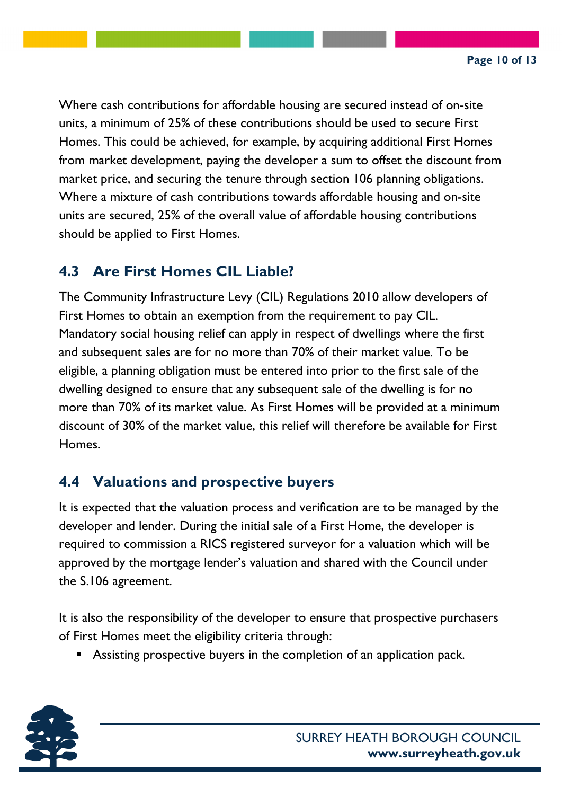Where cash contributions for affordable housing are secured instead of on-site units, a minimum of 25% of these contributions should be used to secure First Homes. This could be achieved, for example, by acquiring additional First Homes from market development, paying the developer a sum to offset the discount from market price, and securing the tenure through section 106 planning obligations. Where a mixture of cash contributions towards affordable housing and on-site units are secured, 25% of the overall value of affordable housing contributions should be applied to First Homes.

## **4.3 Are First Homes CIL Liable?**

The Community Infrastructure Levy (CIL) Regulations 2010 allow developers of First Homes to obtain an exemption from the requirement to pay CIL. Mandatory social housing relief can apply in respect of dwellings where the first and subsequent sales are for no more than 70% of their market value. To be eligible, a planning obligation must be entered into prior to the first sale of the dwelling designed to ensure that any subsequent sale of the dwelling is for no more than 70% of its market value. As First Homes will be provided at a minimum discount of 30% of the market value, this relief will therefore be available for First Homes.

## **4.4 Valuations and prospective buyers**

It is expected that the valuation process and verification are to be managed by the developer and lender. During the initial sale of a First Home, the developer is required to commission a RICS registered surveyor for a valuation which will be approved by the mortgage lender's valuation and shared with the Council under the S.106 agreement.

It is also the responsibility of the developer to ensure that prospective purchasers of First Homes meet the eligibility criteria through:

Assisting prospective buyers in the completion of an application pack.

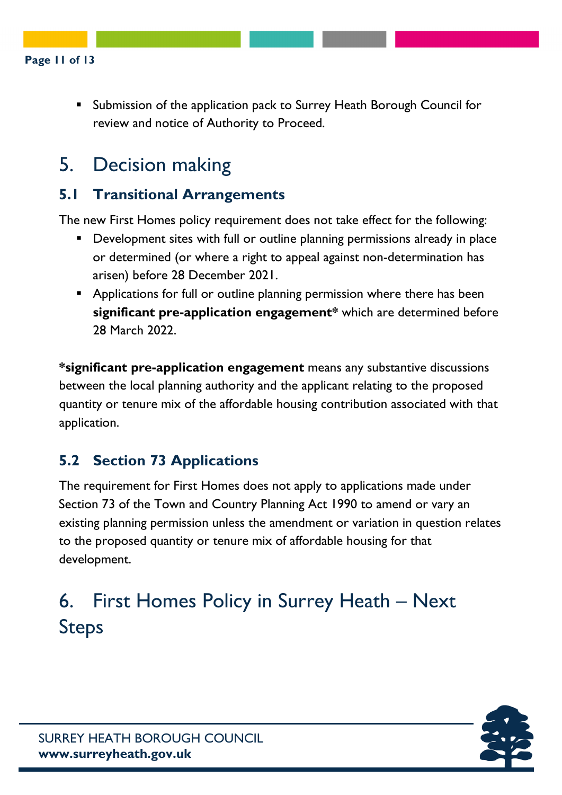**Submission of the application pack to Surrey Heath Borough Council for** review and notice of Authority to Proceed.

# <span id="page-10-0"></span>5. Decision making

#### **5.1 Transitional Arrangements**

The new First Homes policy requirement does not take effect for the following:

- **Development sites with full or outline planning permissions already in place** or determined (or where a right to appeal against non-determination has arisen) before 28 December 2021.
- **Applications for full or outline planning permission where there has been significant pre-application engagement\*** which are determined before 28 March 2022.

**\*significant pre-application engagement** means any substantive discussions between the local planning authority and the applicant relating to the proposed quantity or tenure mix of the affordable housing contribution associated with that application.

## **5.2 Section 73 Applications**

The requirement for First Homes does not apply to applications made under Section 73 of the Town and Country Planning Act 1990 to amend or vary an existing planning permission unless the amendment or variation in question relates to the proposed quantity or tenure mix of affordable housing for that development.

# <span id="page-10-1"></span>6. First Homes Policy in Surrey Heath – Next Steps

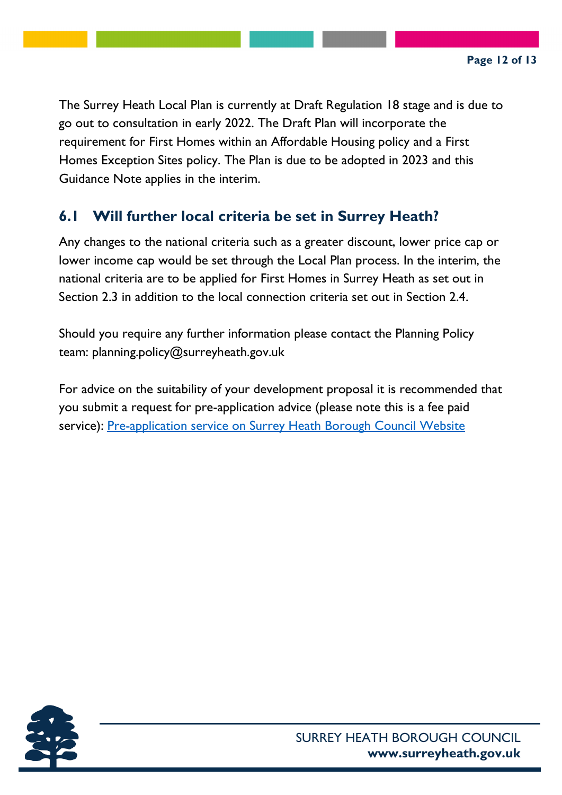The Surrey Heath Local Plan is currently at Draft Regulation 18 stage and is due to go out to consultation in early 2022. The Draft Plan will incorporate the requirement for First Homes within an Affordable Housing policy and a First Homes Exception Sites policy. The Plan is due to be adopted in 2023 and this Guidance Note applies in the interim.

#### **6.1 Will further local criteria be set in Surrey Heath?**

Any changes to the national criteria such as a greater discount, lower price cap or lower income cap would be set through the Local Plan process. In the interim, the national criteria are to be applied for First Homes in Surrey Heath as set out in Section 2.3 in addition to the local connection criteria set out in Section 2.4.

Should you require any further information please contact the Planning Policy team: planning.policy@surreyheath.gov.uk

For advice on the suitability of your development proposal it is recommended that you submit a request for pre-application advice (please note this is a fee paid service): [Pre-application](https://www.surreyheath.gov.uk/residents/planning/development-planning-advice/pre-application-service) service on Surrey Heath Borough Council Website